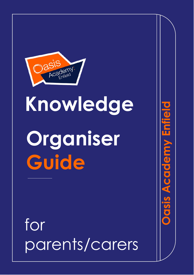

# **Knowledge Organiser Guide**

Dasis Academy Enijelo

for parents/carers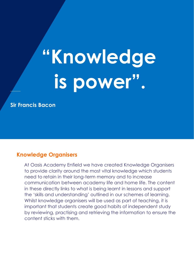# **"Knowledge is power" .**

**Sir Francis Bacon**

#### **Knowledge Organisers**

At Oasis Academy Enfield we have created Knowledge Organisers to provide clarity around the most vital knowledge which students need to retain in their long-term memory and to increase communication between academy life and home life. The content in these directly links to what is being learnt in lessons and support the 'skills and understanding' outlined in our schemes of learning. Whilst knowledge organisers will be used as part of teaching, it is important that students create good habits of independent study by reviewing, practising and retrieving the information to ensure the content sticks with them.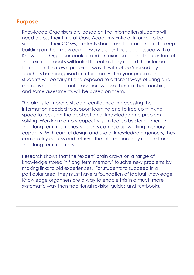## **Purpose**

Knowledge Organisers are based on the information students will need across their time at Oasis Academy Enfield. In order to be successful in their GCSEs, students should use their organisers to keep building on their knowledge. Every student has been issued with a Knowledge Organiser booklet and an exercise book. The content of their exercise books will look different as they record the information for recall in their own preferred way. It will not be 'marked' by teachers but recognised in tutor time. As the year progresses, students will be taught and exposed to different ways of using and memorising the content. Teachers will use them in their teaching and some assessments will be based on them.

The aim is to improve student confidence in accessing the information needed to support learning and to free up thinking space to focus on the application of knowledge and problem solving. Working memory capacity is limited, so by storing more in their long-term memories, students can free up working memory capacity. With careful design and use of knowledge organisers, they can quickly access and retrieve the information they require from their long-term memory.

Research shows that the 'expert' brain draws on a range of knowledge stored in 'long term memory' to solve new problems by making links to old experiences. For students to succeed in a particular area, they must have a foundation of factual knowledge. Knowledge organisers are a way to enable this in a much more systematic way than traditional revision guides and textbooks.